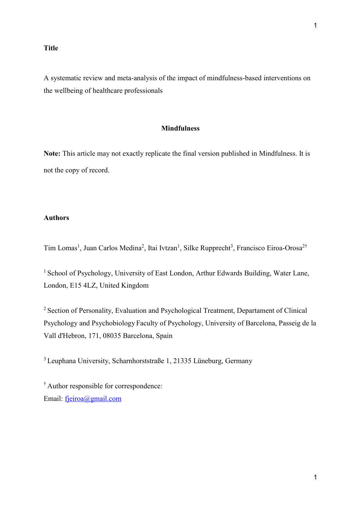## **Title**

A systematic review and meta-analysis of the impact of mindfulness-based interventions on the wellbeing of healthcare professionals

## **Mindfulness**

**Note:** This article may not exactly replicate the final version published in Mindfulness. It is not the copy of record.

# **Authors**

Tim Lomas<sup>1</sup>, Juan Carlos Medina<sup>2</sup>, Itai Ivtzan<sup>1</sup>, Silke Rupprecht<sup>3</sup>, Francisco Eiroa-Orosa<sup>2†</sup>

<sup>1</sup> School of Psychology, University of East London, Arthur Edwards Building, Water Lane, London, E15 4LZ, United Kingdom

<sup>2</sup> Section of Personality, Evaluation and Psychological Treatment, Departament of Clinical Psychology and Psychobiology Faculty of Psychology, University of Barcelona, Passeig de la Vall d'Hebron, 171, 08035 Barcelona, Spain

<sup>3</sup>Leuphana University, Scharnhorststraße 1, 21335 Lüneburg, Germany

† Author responsible for correspondence: Email: [fjeiroa@gmail.com](mailto:fjeiroa@gmail.com)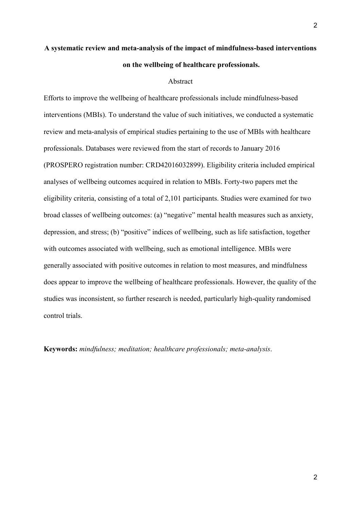# **A systematic review and meta-analysis of the impact of mindfulness-based interventions on the wellbeing of healthcare professionals.**

#### Abstract

Efforts to improve the wellbeing of healthcare professionals include mindfulness-based interventions (MBIs). To understand the value of such initiatives, we conducted a systematic review and meta-analysis of empirical studies pertaining to the use of MBIs with healthcare professionals. Databases were reviewed from the start of records to January 2016 (PROSPERO registration number: CRD42016032899). Eligibility criteria included empirical analyses of wellbeing outcomes acquired in relation to MBIs. Forty-two papers met the eligibility criteria, consisting of a total of 2,101 participants. Studies were examined for two broad classes of wellbeing outcomes: (a) "negative" mental health measures such as anxiety, depression, and stress; (b) "positive" indices of wellbeing, such as life satisfaction, together with outcomes associated with wellbeing, such as emotional intelligence. MBIs were generally associated with positive outcomes in relation to most measures, and mindfulness does appear to improve the wellbeing of healthcare professionals. However, the quality of the studies was inconsistent, so further research is needed, particularly high-quality randomised control trials.

**Keywords:** *mindfulness; meditation; healthcare professionals; meta-analysis*.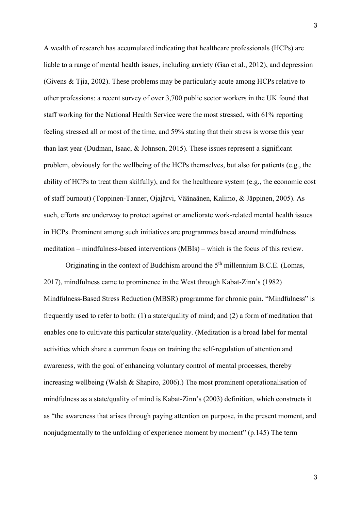A wealth of research has accumulated indicating that healthcare professionals (HCPs) are liable to a range of mental health issues, including anxiety [\(Gao et al., 2012\)](#page-31-0), and depression [\(Givens & Tjia, 2002\)](#page-31-1). These problems may be particularly acute among HCPs relative to other professions: a recent survey of over 3,700 public sector workers in the UK found that staff working for the National Health Service were the most stressed, with 61% reporting feeling stressed all or most of the time, and 59% stating that their stress is worse this year than last year [\(Dudman, Isaac, & Johnson, 2015\)](#page-30-0). These issues represent a significant problem, obviously for the wellbeing of the HCPs themselves, but also for patients (e.g., the ability of HCPs to treat them skilfully), and for the healthcare system (e.g., the economic cost of staff burnout) (Toppinen-Tanner, Ojajärvi, Väänaänen, Kalimo, & Jäppinen, 2005). As such, efforts are underway to protect against or ameliorate work-related mental health issues in HCPs. Prominent among such initiatives are programmes based around mindfulness meditation – mindfulness-based interventions (MBIs) – which is the focus of this review.

Originating in the context of Buddhism around the  $5<sup>th</sup>$  millennium B.C.E. (Lomas, 2017), mindfulness came to prominence in the West through [Kabat-Zinn's \(1982\)](#page-32-0) Mindfulness-Based Stress Reduction (MBSR) programme for chronic pain. "Mindfulness" is frequently used to refer to both: (1) a state/quality of mind; and (2) a form of meditation that enables one to cultivate this particular state/quality. (Meditation is a broad label for mental activities which share a common focus on training the self-regulation of attention and awareness, with the goal of enhancing voluntary control of mental processes, thereby increasing wellbeing (Walsh & Shapiro, 2006).) The most prominent operationalisation of mindfulness as a state/quality of mind is [Kabat-Zinn's \(2003\)](#page-32-1) definition, which constructs it as "the awareness that arises through paying attention on purpose, in the present moment, and nonjudgmentally to the unfolding of experience moment by moment" (p.145) The term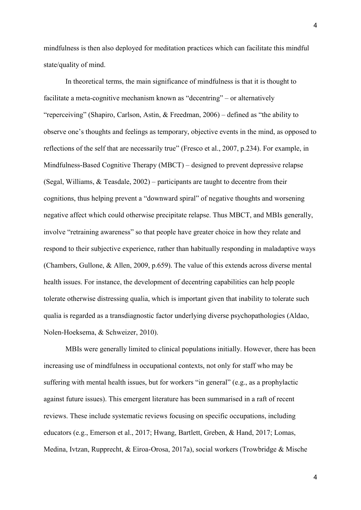mindfulness is then also deployed for meditation practices which can facilitate this mindful state/quality of mind.

In theoretical terms, the main significance of mindfulness is that it is thought to facilitate a meta-cognitive mechanism known as "decentring" – or alternatively "reperceiving" [\(Shapiro, Carlson, Astin, & Freedman, 2006\)](#page-39-0) – defined as "the ability to observe one's thoughts and feelings as temporary, objective events in the mind, as opposed to reflections of the self that are necessarily true" [\(Fresco et al., 2007,](#page-31-2) p.234). For example, in Mindfulness-Based Cognitive Therapy (MBCT) – designed to prevent depressive relapse [\(Segal, Williams, & Teasdale, 2002\)](#page-38-0) – participants are taught to decentre from their cognitions, thus helping prevent a "downward spiral" of negative thoughts and worsening negative affect which could otherwise precipitate relapse. Thus MBCT, and MBIs generally, involve "retraining awareness" so that people have greater choice in how they relate and respond to their subjective experience, rather than habitually responding in maladaptive ways [\(Chambers, Gullone, & Allen, 2009,](#page-27-0) p.659). The value of this extends across diverse mental health issues. For instance, the development of decentring capabilities can help people tolerate otherwise distressing qualia, which is important given that inability to tolerate such qualia is regarded as a transdiagnostic factor underlying diverse psychopathologies [\(Aldao,](#page-26-0)  [Nolen-Hoeksema, & Schweizer, 2010\)](#page-26-0).

MBIs were generally limited to clinical populations initially. However, there has been increasing use of mindfulness in occupational contexts, not only for staff who may be suffering with mental health issues, but for workers "in general" (e.g., as a prophylactic against future issues). This emergent literature has been summarised in a raft of recent reviews. These include systematic reviews focusing on specific occupations, including educators (e.g., [Emerson et al., 2017;](#page-30-1) [Hwang, Bartlett, Greben, & Hand, 2017;](#page-32-2) [Lomas,](#page-35-0)  [Medina, Ivtzan, Rupprecht, & Eiroa-Orosa, 2017a\)](#page-35-0), social workers [\(Trowbridge & Mische](#page-40-0)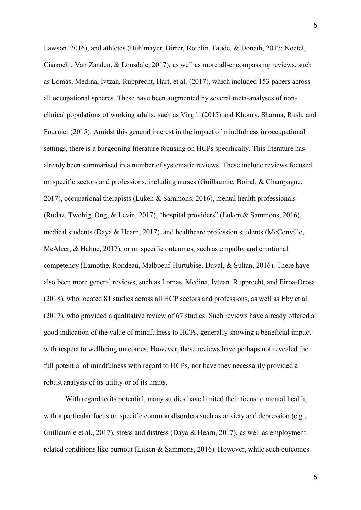[Lawson, 2016\)](#page-40-0), and athletes [\(Bühlmayer, Birrer, Röthlin, Faude, & Donath, 2017;](#page-27-1) [Noetel,](#page-37-0)  [Ciarrochi, Van Zanden, & Lonsdale, 2017\)](#page-37-0), as well as more all-encompassing reviews, such as [Lomas, Medina, Ivtzan, Rupprecht, Hart, et al.](#page-36-0) (2017), which included 153 papers across all occupational spheres. These have been augmented by several meta-analyses of nonclinical populations of working adults, such as [Virgili](#page-40-1) (2015) and [Khoury, Sharma, Rush, and](#page-33-0) [Fournier](#page-33-0) (2015). Amidst this general interest in the impact of mindfulness in occupational settings, there is a burgeoning literature focusing on HCPs specifically. This literature has already been summarised in a number of systematic reviews. These include reviews focused on specific sectors and professions, including nurses [\(Guillaumie, Boiral, & Champagne,](#page-31-3)  [2017\)](#page-31-3), occupational therapists [\(Luken & Sammons, 2016\)](#page-36-1), mental health professionals [\(Rudaz, Twohig, Ong, & Levin, 2017\)](#page-38-1), "hospital providers" [\(Luken & Sammons, 2016\)](#page-36-1), medical students [\(Daya & Hearn, 2017\)](#page-28-0), and healthcare profession students [\(McConville,](#page-37-1)  [McAleer, & Hahne, 2017\)](#page-37-1), or on specific outcomes, such as empathy and emotional competency [\(Lamothe, Rondeau, Malboeuf-Hurtubise, Duval, & Sultan, 2016\)](#page-33-1). There have also been more general reviews, such as [Lomas, Medina, Ivtzan, Rupprecht, and Eiroa-Orosa](#page-36-2)  [\(2018\)](#page-36-2), who located 81 studies across all HCP sectors and professions, as well as [Eby et al.](#page-30-2) [\(2017\)](#page-30-2), who provided a qualitative review of 67 studies. Such reviews have already offered a good indication of the value of mindfulness to HCPs, generally showing a beneficial impact with respect to wellbeing outcomes. However, these reviews have perhaps not revealed the full potential of mindfulness with regard to HCPs, nor have they necessarily provided a robust analysis of its utility or of its limits.

With regard to its potential, many studies have limited their focus to mental health, with a particular focus on specific common disorders such as anxiety and depression (e.g., [Guillaumie et al., 2017\)](#page-31-3), stress and distress [\(Daya & Hearn, 2017\)](#page-28-0), as well as employmentrelated conditions like burnout [\(Luken & Sammons, 2016\)](#page-36-1). However, while such outcomes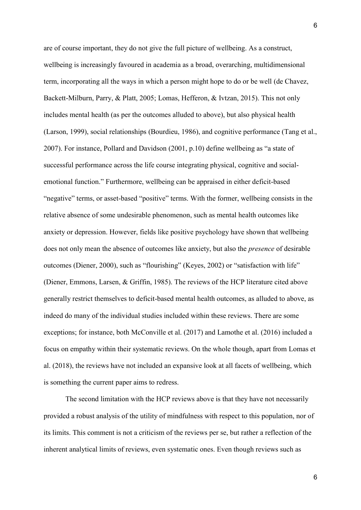are of course important, they do not give the full picture of wellbeing. As a construct, wellbeing is increasingly favoured in academia as a broad, overarching, multidimensional term, incorporating all the ways in which a person might hope to do or be well [\(de Chavez,](#page-29-0)  [Backett-Milburn, Parry, & Platt, 2005;](#page-29-0) Lomas, Hefferon, & Ivtzan, 2015). This not only includes mental health (as per the outcomes alluded to above), but also physical health [\(Larson, 1999\)](#page-35-1), social relationships [\(Bourdieu, 1986\)](#page-26-1), and cognitive performance [\(Tang et al.,](#page-40-2)  [2007\)](#page-40-2). For instance, Pollard [and Davidson](#page-37-2) (2001, p.10) define wellbeing as "a state of successful performance across the life course integrating physical, cognitive and socialemotional function." Furthermore, wellbeing can be appraised in either deficit-based "negative" terms, or asset-based "positive" terms. With the former, wellbeing consists in the relative absence of some undesirable phenomenon, such as mental health outcomes like anxiety or depression. However, fields like positive psychology have shown that wellbeing does not only mean the absence of outcomes like anxiety, but also the *presence* of desirable outcomes [\(Diener, 2000\)](#page-29-1), such as "flourishing" [\(Keyes, 2002\)](#page-32-3) or "satisfaction with life" [\(Diener, Emmons, Larsen, & Griffin, 1985\)](#page-30-3). The reviews of the HCP literature cited above generally restrict themselves to deficit-based mental health outcomes, as alluded to above, as indeed do many of the individual studies included within these reviews. There are some exceptions; for instance, both [McConville et al.](#page-37-1) (2017) and [Lamothe et al.](#page-33-1) (2016) included a focus on empathy within their systematic reviews. On the whole though, apart from [Lomas et](#page-36-2)  [al. \(2018\)](#page-36-2), the reviews have not included an expansive look at all facets of wellbeing, which is something the current paper aims to redress.

The second limitation with the HCP reviews above is that they have not necessarily provided a robust analysis of the utility of mindfulness with respect to this population, nor of its limits. This comment is not a criticism of the reviews per se, but rather a reflection of the inherent analytical limits of reviews, even systematic ones. Even though reviews such as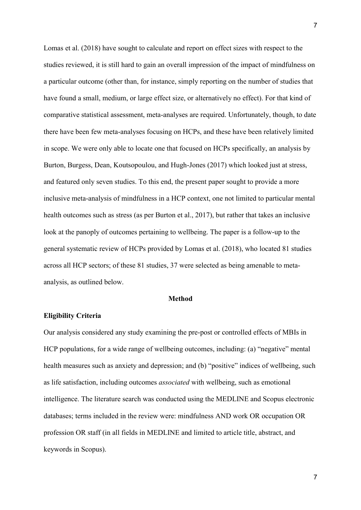[Lomas et al. \(2018\)](#page-36-2) have sought to calculate and report on effect sizes with respect to the studies reviewed, it is still hard to gain an overall impression of the impact of mindfulness on a particular outcome (other than, for instance, simply reporting on the number of studies that have found a small, medium, or large effect size, or alternatively no effect). For that kind of comparative statistical assessment, meta-analyses are required. Unfortunately, though, to date there have been few meta-analyses focusing on HCPs, and these have been relatively limited in scope. We were only able to locate one that focused on HCPs specifically, an analysis by [Burton, Burgess, Dean, Koutsopoulou, and](#page-27-2) Hugh‐Jones (2017) which looked just at stress, and featured only seven studies. To this end, the present paper sought to provide a more inclusive meta-analysis of mindfulness in a HCP context, one not limited to particular mental health outcomes such as stress (as per [Burton et al., 2017\)](#page-27-2), but rather that takes an inclusive look at the panoply of outcomes pertaining to wellbeing. The paper is a follow-up to the general systematic review of HCPs provided by [Lomas et al. \(2018\)](#page-36-2), who located 81 studies across all HCP sectors; of these 81 studies, 37 were selected as being amenable to metaanalysis, as outlined below.

#### **Method**

#### **Eligibility Criteria**

Our analysis considered any study examining the pre-post or controlled effects of MBIs in HCP populations, for a wide range of wellbeing outcomes, including: (a) "negative" mental health measures such as anxiety and depression; and (b) "positive" indices of wellbeing, such as life satisfaction, including outcomes *associated* with wellbeing, such as emotional intelligence. The literature search was conducted using the MEDLINE and Scopus electronic databases; terms included in the review were: mindfulness AND work OR occupation OR profession OR staff (in all fields in MEDLINE and limited to article title, abstract, and keywords in Scopus).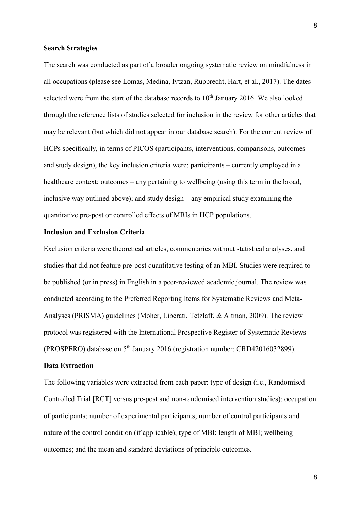#### **Search Strategies**

The search was conducted as part of a broader ongoing systematic review on mindfulness in all occupations (please see [Lomas, Medina, Ivtzan, Rupprecht, Hart, et al., 2017\)](#page-36-0). The dates selected were from the start of the database records to  $10<sup>th</sup>$  January 2016. We also looked through the reference lists of studies selected for inclusion in the review for other articles that may be relevant (but which did not appear in our database search). For the current review of HCPs specifically, in terms of PICOS (participants, interventions, comparisons, outcomes and study design), the key inclusion criteria were: participants – currently employed in a healthcare context; outcomes – any pertaining to wellbeing (using this term in the broad, inclusive way outlined above); and study design – any empirical study examining the quantitative pre-post or controlled effects of MBIs in HCP populations.

## **Inclusion and Exclusion Criteria**

Exclusion criteria were theoretical articles, commentaries without statistical analyses, and studies that did not feature pre-post quantitative testing of an MBI. Studies were required to be published (or in press) in English in a peer-reviewed academic journal. The review was conducted according to the Preferred Reporting Items for Systematic Reviews and Meta-Analyses (PRISMA) guidelines [\(Moher, Liberati, Tetzlaff, & Altman, 2009\)](#page-37-3). The review protocol was registered with the International Prospective Register of Systematic Reviews (PROSPERO) database on 5<sup>th</sup> January 2016 (registration number: CRD42016032899).

#### **Data Extraction**

The following variables were extracted from each paper: type of design (i.e., Randomised Controlled Trial [RCT] versus pre-post and non-randomised intervention studies); occupation of participants; number of experimental participants; number of control participants and nature of the control condition (if applicable); type of MBI; length of MBI; wellbeing outcomes; and the mean and standard deviations of principle outcomes.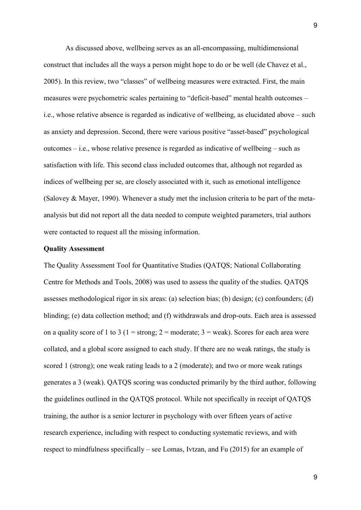As discussed above, wellbeing serves as an all-encompassing, multidimensional construct that includes all the ways a person might hope to do or be well [\(de Chavez et al.,](#page-29-0)  [2005\)](#page-29-0). In this review, two "classes" of wellbeing measures were extracted. First, the main measures were psychometric scales pertaining to "deficit-based" mental health outcomes – i.e., whose relative absence is regarded as indicative of wellbeing, as elucidated above – such as anxiety and depression. Second, there were various positive "asset-based" psychological outcomes – i.e., whose relative presence is regarded as indicative of wellbeing – such as satisfaction with life. This second class included outcomes that, although not regarded as indices of wellbeing per se, are closely associated with it, such as emotional intelligence [\(Salovey & Mayer, 1990\)](#page-38-2). Whenever a study met the inclusion criteria to be part of the metaanalysis but did not report all the data needed to compute weighted parameters, trial authors were contacted to request all the missing information.

## **Quality Assessment**

The Quality Assessment Tool for Quantitative Studies (QATQS; National Collaborating Centre for Methods and Tools, 2008) was used to assess the quality of the studies. QATQS assesses methodological rigor in six areas: (a) selection bias; (b) design; (c) confounders; (d) blinding; (e) data collection method; and (f) withdrawals and drop-outs. Each area is assessed on a quality score of 1 to 3 (1 = strong;  $2 =$  moderate;  $3 =$  weak). Scores for each area were collated, and a global score assigned to each study. If there are no weak ratings, the study is scored 1 (strong); one weak rating leads to a 2 (moderate); and two or more weak ratings generates a 3 (weak). QATQS scoring was conducted primarily by the third author, following the guidelines outlined in the QATQS protocol. While not specifically in receipt of QATQS training, the author is a senior lecturer in psychology with over fifteen years of active research experience, including with respect to conducting systematic reviews, and with respect to mindfulness specifically – see Lomas, Ivtzan, and Fu (2015) for an example of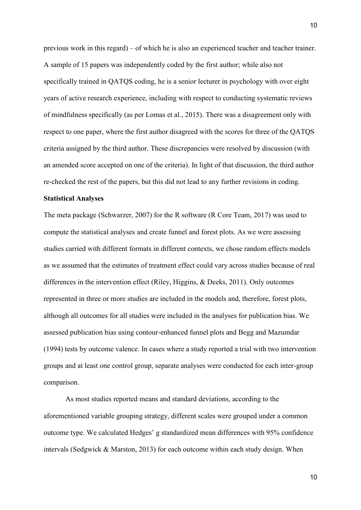previous work in this regard) – of which he is also an experienced teacher and teacher trainer. A sample of 15 papers was independently coded by the first author; while also not specifically trained in QATQS coding, he is a senior lecturer in psychology with over eight years of active research experience, including with respect to conducting systematic reviews of mindfulness specifically (as per Lomas et al., 2015). There was a disagreement only with respect to one paper, where the first author disagreed with the scores for three of the QATQS criteria assigned by the third author. These discrepancies were resolved by discussion (with an amended score accepted on one of the criteria). In light of that discussion, the third author re-checked the rest of the papers, but this did not lead to any further revisions in coding.

#### **Statistical Analyses**

The meta package (Schwarzer, 2007) for the R software (R Core Team, 2017) was used to compute the statistical analyses and create funnel and forest plots. As we were assessing studies carried with different formats in different contexts, we chose random effects models as we assumed that the estimates of treatment effect could vary across studies because of real differences in the intervention effect (Riley, Higgins, & Deeks, 2011). Only outcomes represented in three or more studies are included in the models and, therefore, forest plots, although all outcomes for all studies were included in the analyses for publication bias. We assessed publication bias using contour-enhanced funnel plots and Begg and Mazumdar (1994) tests by outcome valence. In cases where a study reported a trial with two intervention groups and at least one control group, separate analyses were conducted for each inter-group comparison.

As most studies reported means and standard deviations, according to the aforementioned variable grouping strategy, different scales were grouped under a common outcome type. We calculated Hedges' g standardized mean differences with 95% confidence intervals (Sedgwick & Marston, 2013) for each outcome within each study design. When

10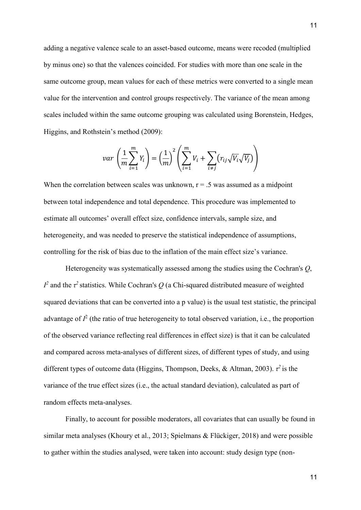adding a negative valence scale to an asset-based outcome, means were recoded (multiplied by minus one) so that the valences coincided. For studies with more than one scale in the same outcome group, mean values for each of these metrics were converted to a single mean value for the intervention and control groups respectively. The variance of the mean among scales included within the same outcome grouping was calculated using Borenstein, Hedges, Higgins, and Rothstein's method (2009):

$$
var\left(\frac{1}{m}\sum_{i=1}^{m}Y_i\right) = \left(\frac{1}{m}\right)^2 \left(\sum_{i=1}^{m}V_i + \sum_{i \neq j} (r_{ij}\sqrt{V_i}\sqrt{V_j})\right)
$$

When the correlation between scales was unknown,  $r = 0.5$  was assumed as a midpoint between total independence and total dependence. This procedure was implemented to estimate all outcomes' overall effect size, confidence intervals, sample size, and heterogeneity, and was needed to preserve the statistical independence of assumptions, controlling for the risk of bias due to the inflation of the main effect size's variance.

Heterogeneity was systematically assessed among the studies using the Cochran's *Q*, *I*<sup>2</sup> and the  $\tau$ <sup>2</sup> statistics. While Cochran's *Q* (a Chi-squared distributed measure of weighted squared deviations that can be converted into a p value) is the usual test statistic, the principal advantage of  $I<sup>2</sup>$  (the ratio of true heterogeneity to total observed variation, i.e., the proportion of the observed variance reflecting real differences in effect size) is that it can be calculated and compared across meta-analyses of different sizes, of different types of study, and using different types of outcome data (Higgins, Thompson, Deeks, & Altman, 2003). *τ 2* is the variance of the true effect sizes (i.e., the actual standard deviation), calculated as part of random effects meta-analyses.

Finally, to account for possible moderators, all covariates that can usually be found in similar meta analyses (Khoury et al., 2013; Spielmans & Flückiger, 2018) and were possible to gather within the studies analysed, were taken into account: study design type (non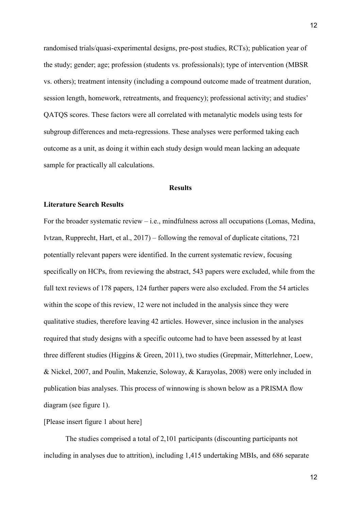randomised trials/quasi-experimental designs, pre-post studies, RCTs); publication year of the study; gender; age; profession (students vs. professionals); type of intervention (MBSR vs. others); treatment intensity (including a compound outcome made of treatment duration, session length, homework, retreatments, and frequency); professional activity; and studies' QATQS scores. These factors were all correlated with metanalytic models using tests for subgroup differences and meta-regressions. These analyses were performed taking each outcome as a unit, as doing it within each study design would mean lacking an adequate sample for practically all calculations.

#### **Results**

## **Literature Search Results**

For the broader systematic review  $-$  i.e., mindfulness across all occupations (Lomas, Medina, [Ivtzan, Rupprecht, Hart, et al., 2017\)](#page-36-0) – following the removal of duplicate citations, 721 potentially relevant papers were identified. In the current systematic review, focusing specifically on HCPs, from reviewing the abstract, 543 papers were excluded, while from the full text reviews of 178 papers, 124 further papers were also excluded. From the 54 articles within the scope of this review, 12 were not included in the analysis since they were qualitative studies, therefore leaving 42 articles. However, since inclusion in the analyses required that study designs with a specific outcome had to have been assessed by at least three different studies [\(Higgins & Green, 2011\)](#page-31-4), two studies (Grepmair, Mitterlehner, Loew, & Nickel, 2007, and Poulin, Makenzie, Soloway, & Karayolas, 2008) were only included in publication bias analyses. This process of winnowing is shown below as a PRISMA flow diagram (see figure 1).

## [Please insert figure 1 about here]

The studies comprised a total of 2,101 participants (discounting participants not including in analyses due to attrition), including 1,415 undertaking MBIs, and 686 separate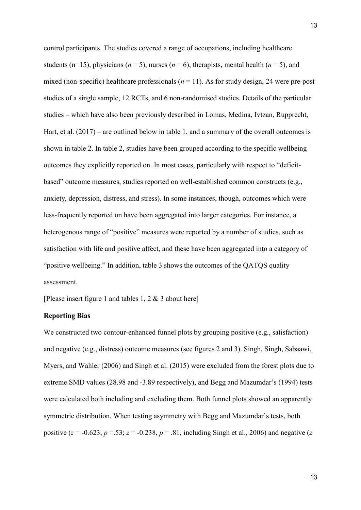control participants. The studies covered a range of occupations, including healthcare students ( $n=15$ ), physicians ( $n=5$ ), nurses ( $n=6$ ), therapists, mental health ( $n=5$ ), and mixed (non-specific) healthcare professionals  $(n = 11)$ . As for study design, 24 were pre-post studies of a single sample, 12 RCTs, and 6 non-randomised studies. Details of the particular studies – which have also been previously described in [Lomas, Medina, Ivtzan, Rupprecht,](#page-36-0)  [Hart, et al. \(2017\)](#page-36-0) – are outlined below in table 1, and a summary of the overall outcomes is shown in table 2. In table 2, studies have been grouped according to the specific wellbeing outcomes they explicitly reported on. In most cases, particularly with respect to "deficitbased" outcome measures, studies reported on well-established common constructs (e.g., anxiety, depression, distress, and stress). In some instances, though, outcomes which were less-frequently reported on have been aggregated into larger categories. For instance, a heterogenous range of "positive" measures were reported by a number of studies, such as satisfaction with life and positive affect, and these have been aggregated into a category of "positive wellbeing." In addition, table 3 shows the outcomes of the QATQS quality assessment.

[Please insert figure 1 and tables 1, 2 & 3 about here]

## **Reporting Bias**

We constructed two contour-enhanced funnel plots by grouping positive (e.g., satisfaction) and negative (e.g., distress) outcome measures (see figures 2 and 3). Singh, Singh, Sabaawi, Myers, and Wahler (2006) and Singh et al. (2015) were excluded from the forest plots due to extreme SMD values (28.98 and -3.89 respectively), and Begg and Mazumdar's (1994) tests were calculated both including and excluding them. Both funnel plots showed an apparently symmetric distribution. When testing asymmetry with Begg and Mazumdar's tests, both positive ( $z = -0.623$ ,  $p = 0.53$ ;  $z = -0.238$ ,  $p = 0.81$ , including Singh et al., 2006) and negative ( $z = 0.623$ ,  $p = 0.238$ ,  $p = 0.81$ , including Singh et al., 2006) and negative ( $z = 0.623$ ,  $p = 0.238$ ,  $p = 0.81$ , includi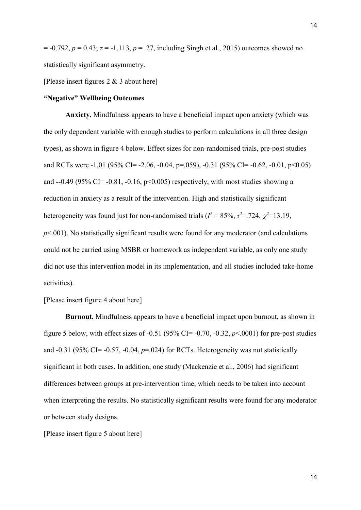= -0.792, *p* = 0.43; *z* = -1.113, *p* = .27, including Singh et al., 2015) outcomes showed no statistically significant asymmetry.

[Please insert figures 2 & 3 about here]

## **"Negative" Wellbeing Outcomes**

**Anxiety.** Mindfulness appears to have a beneficial impact upon anxiety (which was the only dependent variable with enough studies to perform calculations in all three design types), as shown in figure 4 below. Effect sizes for non-randomised trials, pre-post studies and RCTs were -1.01 (95% CI= -2.06, -0.04, p=.059), -0.31 (95% CI= -0.62, -0.01, p<0.05) and  $-0.49$  (95% CI= $-0.81$ ,  $-0.16$ ,  $p<0.005$ ) respectively, with most studies showing a reduction in anxiety as a result of the intervention. High and statistically significant heterogeneity was found just for non-randomised trials ( $I^2 = 85\%$ ,  $\tau^2 = .724$ ,  $\chi^2 = 13.19$ , *p*<.001). No statistically significant results were found for any moderator (and calculations could not be carried using MSBR or homework as independent variable, as only one study did not use this intervention model in its implementation, and all studies included take-home activities).

[Please insert figure 4 about here]

**Burnout.** Mindfulness appears to have a beneficial impact upon burnout, as shown in figure 5 below, with effect sizes of  $-0.51$  (95% CI= $-0.70$ ,  $-0.32$ ,  $p<0.001$ ) for pre-post studies and  $-0.31$  (95% CI= $-0.57$ ,  $-0.04$ ,  $p=0.024$ ) for RCTs. Heterogeneity was not statistically significant in both cases. In addition, one study (Mackenzie et al., 2006) had significant differences between groups at pre-intervention time, which needs to be taken into account when interpreting the results. No statistically significant results were found for any moderator or between study designs.

[Please insert figure 5 about here]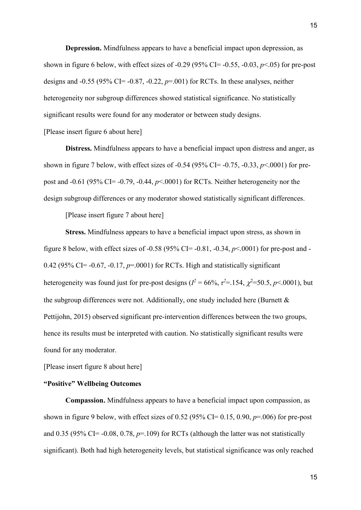**Depression.** Mindfulness appears to have a beneficial impact upon depression, as shown in figure 6 below, with effect sizes of  $-0.29$  (95% CI= $-0.55$ ,  $-0.03$ ,  $p<0.05$ ) for pre-post designs and  $-0.55$  (95% CI= $-0.87$ ,  $-0.22$ ,  $p=0.01$ ) for RCTs. In these analyses, neither heterogeneity nor subgroup differences showed statistical significance. No statistically significant results were found for any moderator or between study designs.

[Please insert figure 6 about here]

**Distress.** Mindfulness appears to have a beneficial impact upon distress and anger, as shown in figure 7 below, with effect sizes of -0.54 (95% CI= -0.75, -0.33, *p*<.0001) for prepost and -0.61 (95% CI= -0.79, -0.44, *p*<.0001) for RCTs. Neither heterogeneity nor the design subgroup differences or any moderator showed statistically significant differences.

[Please insert figure 7 about here]

**Stress.** Mindfulness appears to have a beneficial impact upon stress, as shown in figure 8 below, with effect sizes of -0.58 (95% CI= -0.81, -0.34, *p*<.0001) for pre-post and - 0.42 (95% CI= -0.67, -0.17, *p*=.0001) for RCTs. High and statistically significant heterogeneity was found just for pre-post designs ( $l^2 = 66\%$ ,  $\tau^2 = 154$ ,  $\chi^2 = 50.5$ ,  $p < .0001$ ), but the subgroup differences were not. Additionally, one study included here (Burnett & Pettijohn, 2015) observed significant pre-intervention differences between the two groups, hence its results must be interpreted with caution. No statistically significant results were found for any moderator.

[Please insert figure 8 about here]

## **"Positive" Wellbeing Outcomes**

**Compassion.** Mindfulness appears to have a beneficial impact upon compassion, as shown in figure 9 below, with effect sizes of  $0.52$  (95% CI=  $0.15$ ,  $0.90$ ,  $p=0.06$ ) for pre-post and  $0.35$  (95% CI= -0.08, 0.78,  $p=109$ ) for RCTs (although the latter was not statistically significant). Both had high heterogeneity levels, but statistical significance was only reached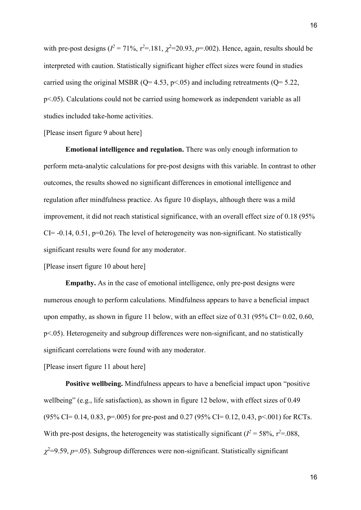with pre-post designs ( $I^2 = 71\%$ ,  $\tau^2 = .181$ ,  $\chi^2 = 20.93$ ,  $p = .002$ ). Hence, again, results should be interpreted with caution. Statistically significant higher effect sizes were found in studies carried using the original MSBR ( $Q = 4.53$ ,  $p < .05$ ) and including retreatments ( $Q = 5.22$ , p<.05). Calculations could not be carried using homework as independent variable as all studies included take-home activities.

[Please insert figure 9 about here]

**Emotional intelligence and regulation.** There was only enough information to perform meta-analytic calculations for pre-post designs with this variable. In contrast to other outcomes, the results showed no significant differences in emotional intelligence and regulation after mindfulness practice. As figure 10 displays, although there was a mild improvement, it did not reach statistical significance, with an overall effect size of 0.18 (95%  $CI = -0.14, 0.51, p=0.26$ . The level of heterogeneity was non-significant. No statistically significant results were found for any moderator.

[Please insert figure 10 about here]

**Empathy.** As in the case of emotional intelligence, only pre-post designs were numerous enough to perform calculations. Mindfulness appears to have a beneficial impact upon empathy, as shown in figure 11 below, with an effect size of  $0.31$  ( $95\%$  CI=  $0.02$ ,  $0.60$ , p<.05). Heterogeneity and subgroup differences were non-significant, and no statistically significant correlations were found with any moderator.

[Please insert figure 11 about here]

**Positive wellbeing.** Mindfulness appears to have a beneficial impact upon "positive wellbeing" (e.g., life satisfaction), as shown in figure 12 below, with effect sizes of 0.49 (95% CI= 0.14, 0.83, p=.005) for pre-post and 0.27 (95% CI= 0.12, 0.43, p<.001) for RCTs. With pre-post designs, the heterogeneity was statistically significant ( $I^2 = 58\%$ ,  $\tau^2 = .088$ ,  $\chi^2$ =9.59,  $p$ =.05). Subgroup differences were non-significant. Statistically significant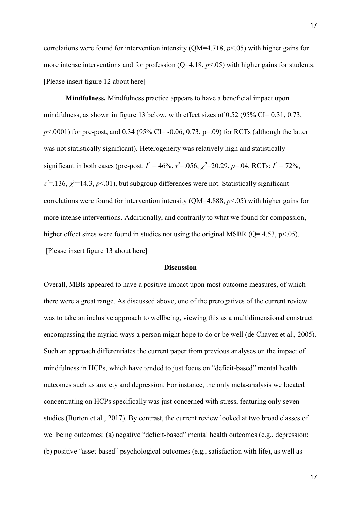correlations were found for intervention intensity ( $QM=4.718$ ,  $p<0.05$ ) with higher gains for more intense interventions and for profession  $(O=4.18, p<0.05)$  with higher gains for students. [Please insert figure 12 about here]

**Mindfulness.** Mindfulness practice appears to have a beneficial impact upon mindfulness, as shown in figure 13 below, with effect sizes of 0.52 (95% CI= 0.31, 0.73,  $p$ <.0001) for pre-post, and 0.34 (95% CI= -0.06, 0.73, p=.09) for RCTs (although the latter was not statistically significant). Heterogeneity was relatively high and statistically significant in both cases (pre-post:  $I^2 = 46\%$ ,  $\tau^2 = .056$ ,  $\chi^2 = 20.29$ ,  $p = .04$ , RCTs:  $I^2 = 72\%$ ,  $\tau^2$ =.136,  $\chi^2$ =14.3, *p*<.01), but subgroup differences were not. Statistically significant correlations were found for intervention intensity ( $QM=4.888$ ,  $p<0.05$ ) with higher gains for more intense interventions. Additionally, and contrarily to what we found for compassion, higher effect sizes were found in studies not using the original MSBR ( $Q=4.53$ ,  $p<.05$ ). [Please insert figure 13 about here]

#### **Discussion**

Overall, MBIs appeared to have a positive impact upon most outcome measures, of which there were a great range. As discussed above, one of the prerogatives of the current review was to take an inclusive approach to wellbeing, viewing this as a multidimensional construct encompassing the myriad ways a person might hope to do or be well [\(de Chavez et al., 2005\)](#page-29-0). Such an approach differentiates the current paper from previous analyses on the impact of mindfulness in HCPs, which have tended to just focus on "deficit-based" mental health outcomes such as anxiety and depression. For instance, the only meta-analysis we located concentrating on HCPs specifically was just concerned with stress, featuring only seven studies [\(Burton et al., 2017\)](#page-27-2). By contrast, the current review looked at two broad classes of wellbeing outcomes: (a) negative "deficit-based" mental health outcomes (e.g., depression; (b) positive "asset-based" psychological outcomes (e.g., satisfaction with life), as well as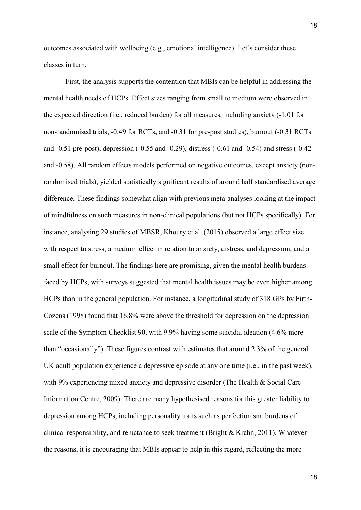outcomes associated with wellbeing (e.g., emotional intelligence). Let's consider these classes in turn.

First, the analysis supports the contention that MBIs can be helpful in addressing the mental health needs of HCPs. Effect sizes ranging from small to medium were observed in the expected direction (i.e., reduced burden) for all measures, including anxiety (-1.01 for non-randomised trials, -0.49 for RCTs, and -0.31 for pre-post studies), burnout (-0.31 RCTs and -0.51 pre-post), depression (-0.55 and -0.29), distress (-0.61 and -0.54) and stress (-0.42 and -0.58). All random effects models performed on negative outcomes, except anxiety (nonrandomised trials), yielded statistically significant results of around half standardised average difference. These findings somewhat align with previous meta-analyses looking at the impact of mindfulness on such measures in non-clinical populations (but not HCPs specifically). For instance, analysing 29 studies of MBSR, [Khoury et al.](#page-33-0) (2015) observed a large effect size with respect to stress, a medium effect in relation to anxiety, distress, and depression, and a small effect for burnout. The findings here are promising, given the mental health burdens faced by HCPs, with surveys suggested that mental health issues may be even higher among HCPs than in the general population. For instance, a longitudinal study of 318 GPs by [Firth-](#page-30-4)[Cozens](#page-30-4) (1998) found that 16.8% were above the threshold for depression on the depression scale of the Symptom Checklist 90, with 9.9% having some suicidal ideation (4.6% more than "occasionally"). These figures contrast with estimates that around 2.3% of the general UK adult population experience a depressive episode at any one time (i.e., in the past week), with 9% experiencing mixed anxiety and depressive disorder (The Health & Social Care Information Centre, [2009\)](#page-27-3). There are many hypothesised reasons for this greater liability to depression among HCPs, including personality traits such as perfectionism, burdens of clinical responsibility, and reluctance to seek treatment [\(Bright & Krahn, 2011\)](#page-27-4). Whatever the reasons, it is encouraging that MBIs appear to help in this regard, reflecting the more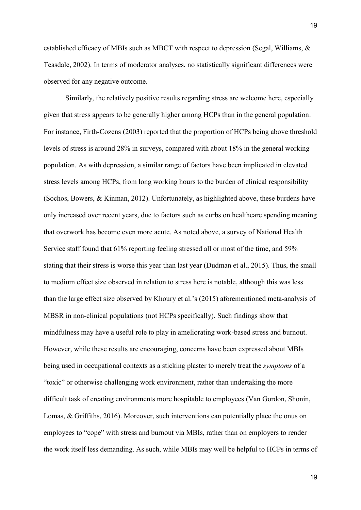established efficacy of MBIs such as MBCT with respect to depression (Segal, Williams, & Teasdale, 2002). In terms of moderator analyses, no statistically significant differences were observed for any negative outcome.

Similarly, the relatively positive results regarding stress are welcome here, especially given that stress appears to be generally higher among HCPs than in the general population. For instance, [Firth-Cozens](#page-30-5) (2003) reported that the proportion of HCPs being above threshold levels of stress is around 28% in surveys, compared with about 18% in the general working population. As with depression, a similar range of factors have been implicated in elevated stress levels among HCPs, from long working hours to the burden of clinical responsibility [\(Sochos, Bowers, & Kinman, 2012\)](#page-40-0). Unfortunately, as highlighted above, these burdens have only increased over recent years, due to factors such as curbs on healthcare spending meaning that overwork has become even more acute. As noted above, a survey of National Health Service staff found that 61% reporting feeling stressed all or most of the time, and 59% stating that their stress is worse this year than last year [\(Dudman et al., 2015\)](#page-30-0). Thus, the small to medium effect size observed in relation to stress here is notable, although this was less than the large effect size observed by [Khoury et al.'s \(2015\)](#page-33-0) aforementioned meta-analysis of MBSR in non-clinical populations (not HCPs specifically). Such findings show that mindfulness may have a useful role to play in ameliorating work-based stress and burnout. However, while these results are encouraging, concerns have been expressed about MBIs being used in occupational contexts as a sticking plaster to merely treat the *symptoms* of a "toxic" or otherwise challenging work environment, rather than undertaking the more difficult task of creating environments more hospitable to employees (Van Gordon, Shonin, Lomas, & Griffiths, 2016). Moreover, such interventions can potentially place the onus on employees to "cope" with stress and burnout via MBIs, rather than on employers to render the work itself less demanding. As such, while MBIs may well be helpful to HCPs in terms of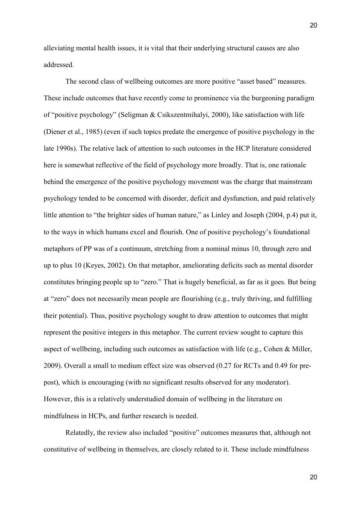alleviating mental health issues, it is vital that their underlying structural causes are also addressed.

The second class of wellbeing outcomes are more positive "asset based" measures. These include outcomes that have recently come to prominence via the burgeoning paradigm of "positive psychology" [\(Seligman & Csikszentmihalyi, 2000\)](#page-39-1), like satisfaction with life [\(Diener et al., 1985\)](#page-30-3) (even if such topics predate the emergence of positive psychology in the late 1990s). The relative lack of attention to such outcomes in the HCP literature considered here is somewhat reflective of the field of psychology more broadly. That is, one rationale behind the emergence of the positive psychology movement was the charge that mainstream psychology tended to be concerned with disorder, deficit and dysfunction, and paid relatively little attention to "the brighter sides of human nature," as Linley [and Joseph](#page-35-2) (2004, p.4) put it, to the ways in which humans excel and flourish. One of positive psychology's foundational metaphors of PP was of a continuum, stretching from a nominal minus 10, through zero and up to plus 10 [\(Keyes, 2002\)](#page-32-3). On that metaphor, ameliorating deficits such as mental disorder constitutes bringing people up to "zero." That is hugely beneficial, as far as it goes. But being at "zero" does not necessarily mean people are flourishing (e.g., truly thriving, and fulfilling their potential). Thus, positive psychology sought to draw attention to outcomes that might represent the positive integers in this metaphor. The current review sought to capture this aspect of wellbeing, including such outcomes as satisfaction with life (e.g., [Cohen & Miller,](#page-28-1)  [2009\)](#page-28-1). Overall a small to medium effect size was observed (0.27 for RCTs and 0.49 for prepost), which is encouraging (with no significant results observed for any moderator). However, this is a relatively understudied domain of wellbeing in the literature on mindfulness in HCPs, and further research is needed.

Relatedly, the review also included "positive" outcomes measures that, although not constitutive of wellbeing in themselves, are closely related to it. These include mindfulness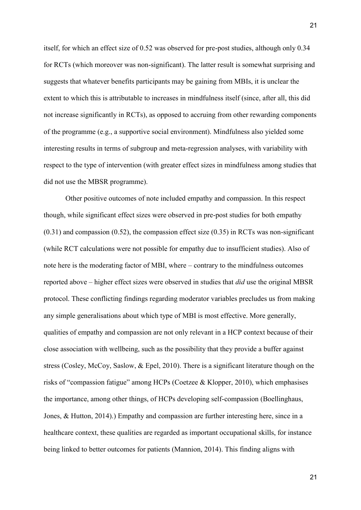itself, for which an effect size of 0.52 was observed for pre-post studies, although only 0.34 for RCTs (which moreover was non-significant). The latter result is somewhat surprising and suggests that whatever benefits participants may be gaining from MBIs, it is unclear the extent to which this is attributable to increases in mindfulness itself (since, after all, this did not increase significantly in RCTs), as opposed to accruing from other rewarding components of the programme (e.g., a supportive social environment). Mindfulness also yielded some interesting results in terms of subgroup and meta-regression analyses, with variability with respect to the type of intervention (with greater effect sizes in mindfulness among studies that did not use the MBSR programme).

Other positive outcomes of note included empathy and compassion. In this respect though, while significant effect sizes were observed in pre-post studies for both empathy  $(0.31)$  and compassion  $(0.52)$ , the compassion effect size  $(0.35)$  in RCTs was non-significant (while RCT calculations were not possible for empathy due to insufficient studies). Also of note here is the moderating factor of MBI, where – contrary to the mindfulness outcomes reported above – higher effect sizes were observed in studies that *did* use the original MBSR protocol. These conflicting findings regarding moderator variables precludes us from making any simple generalisations about which type of MBI is most effective. More generally, qualities of empathy and compassion are not only relevant in a HCP context because of their close association with wellbeing, such as the possibility that they provide a buffer against stress [\(Cosley, McCoy, Saslow, & Epel, 2010\)](#page-28-2). There is a significant literature though on the risks of "compassion fatigue" among HCPs [\(Coetzee & Klopper, 2010\)](#page-39-2), which emphasises the importance, among other things, of HCPs developing self-compassion [\(Boellinghaus,](#page-26-2)  [Jones, & Hutton, 2014\)](#page-26-2).) Empathy and compassion are further interesting here, since in a healthcare context, these qualities are regarded as important occupational skills, for instance being linked to better outcomes for patients [\(Mannion, 2014\)](#page-37-4). This finding aligns with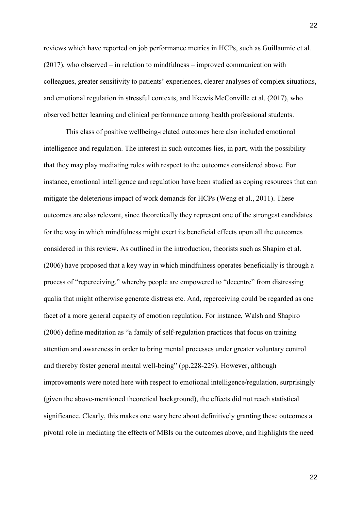reviews which have reported on job performance metrics in HCPs, such as [Guillaumie et al.](#page-31-3)  [\(2017\)](#page-31-3), who observed – in relation to mindfulness – improved communication with colleagues, greater sensitivity to patients' experiences, clearer analyses of complex situations, and emotional regulation in stressful contexts, and likewis [McConville et al. \(2017\)](#page-37-1), who observed better learning and clinical performance among health professional students.

This class of positive wellbeing-related outcomes here also included emotional intelligence and regulation. The interest in such outcomes lies, in part, with the possibility that they may play mediating roles with respect to the outcomes considered above. For instance, emotional intelligence and regulation have been studied as coping resources that can mitigate the deleterious impact of work demands for HCPs [\(Weng et al., 2011\)](#page-40-2). These outcomes are also relevant, since theoretically they represent one of the strongest candidates for the way in which mindfulness might exert its beneficial effects upon all the outcomes considered in this review. As outlined in the introduction, theorists such as [Shapiro](#page-39-0) et al. [\(2006\)](#page-39-0) have proposed that a key way in which mindfulness operates beneficially is through a process of "reperceiving," whereby people are empowered to "decentre" from distressing qualia that might otherwise generate distress etc. And, reperceiving could be regarded as one facet of a more general capacity of emotion regulation. For instance, Walsh and Shapiro (2006) define meditation as "a family of self-regulation practices that focus on training attention and awareness in order to bring mental processes under greater voluntary control and thereby foster general mental well-being" (pp.228-229). However, although improvements were noted here with respect to emotional intelligence/regulation, surprisingly (given the above-mentioned theoretical background), the effects did not reach statistical significance. Clearly, this makes one wary here about definitively granting these outcomes a pivotal role in mediating the effects of MBIs on the outcomes above, and highlights the need

22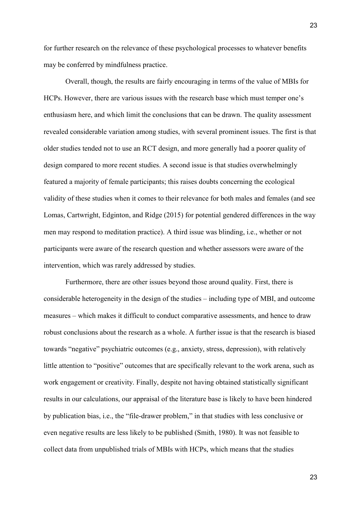for further research on the relevance of these psychological processes to whatever benefits may be conferred by mindfulness practice.

Overall, though, the results are fairly encouraging in terms of the value of MBIs for HCPs. However, there are various issues with the research base which must temper one's enthusiasm here, and which limit the conclusions that can be drawn. The quality assessment revealed considerable variation among studies, with several prominent issues. The first is that older studies tended not to use an RCT design, and more generally had a poorer quality of design compared to more recent studies. A second issue is that studies overwhelmingly featured a majority of female participants; this raises doubts concerning the ecological validity of these studies when it comes to their relevance for both males and females (and see Lomas, Cartwright, Edginton, and Ridge (2015) for potential gendered differences in the way men may respond to meditation practice). A third issue was blinding, i.e., whether or not participants were aware of the research question and whether assessors were aware of the intervention, which was rarely addressed by studies.

Furthermore, there are other issues beyond those around quality. First, there is considerable heterogeneity in the design of the studies – including type of MBI, and outcome measures – which makes it difficult to conduct comparative assessments, and hence to draw robust conclusions about the research as a whole. A further issue is that the research is biased towards "negative" psychiatric outcomes (e.g., anxiety, stress, depression), with relatively little attention to "positive" outcomes that are specifically relevant to the work arena, such as work engagement or creativity. Finally, despite not having obtained statistically significant results in our calculations, our appraisal of the literature base is likely to have been hindered by publication bias, i.e., the "file-drawer problem," in that studies with less conclusive or even negative results are less likely to be published [\(Smith, 1980\)](#page-40-3). It was not feasible to collect data from unpublished trials of MBIs with HCPs, which means that the studies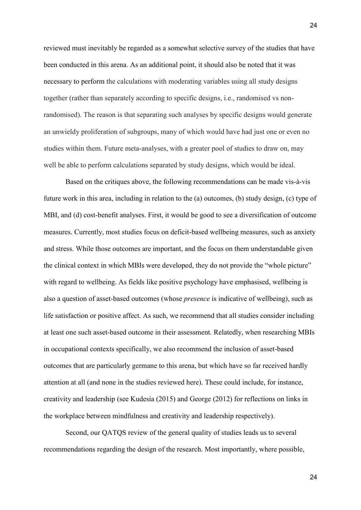reviewed must inevitably be regarded as a somewhat selective survey of the studies that have been conducted in this arena. As an additional point, it should also be noted that it was necessary to perform the calculations with moderating variables using all study designs together (rather than separately according to specific designs, i.e., randomised vs nonrandomised). The reason is that separating such analyses by specific designs would generate an unwieldy proliferation of subgroups, many of which would have had just one or even no studies within them. Future meta-analyses, with a greater pool of studies to draw on, may well be able to perform calculations separated by study designs, which would be ideal.

Based on the critiques above, the following recommendations can be made vis-à-vis future work in this area, including in relation to the (a) outcomes, (b) study design, (c) type of MBI, and (d) cost-benefit analyses. First, it would be good to see a diversification of outcome measures. Currently, most studies focus on deficit-based wellbeing measures, such as anxiety and stress. While those outcomes are important, and the focus on them understandable given the clinical context in which MBIs were developed, they do not provide the "whole picture" with regard to wellbeing. As fields like positive psychology have emphasised, wellbeing is also a question of asset-based outcomes (whose *presence* is indicative of wellbeing), such as life satisfaction or positive affect. As such, we recommend that all studies consider including at least one such asset-based outcome in their assessment. Relatedly, when researching MBIs in occupational contexts specifically, we also recommend the inclusion of asset-based outcomes that are particularly germane to this arena, but which have so far received hardly attention at all (and none in the studies reviewed here). These could include, for instance, creativity and leadership (see Kudesia (2015) and George (2012) for reflections on links in the workplace between mindfulness and creativity and leadership respectively).

Second, our QATQS review of the general quality of studies leads us to several recommendations regarding the design of the research. Most importantly, where possible,

24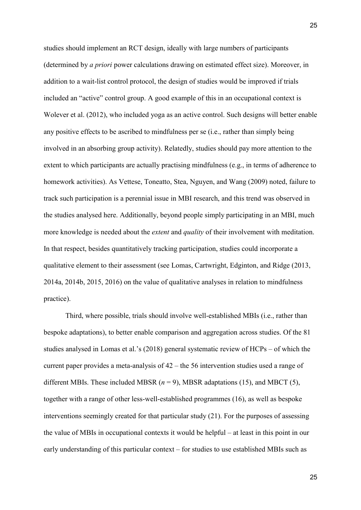studies should implement an RCT design, ideally with large numbers of participants (determined by *a priori* power calculations drawing on estimated effect size). Moreover, in addition to a wait-list control protocol, the design of studies would be improved if trials included an "active" control group. A good example of this in an occupational context is Wolever et al. (2012), who included yoga as an active control. Such designs will better enable any positive effects to be ascribed to mindfulness per se (i.e., rather than simply being involved in an absorbing group activity). Relatedly, studies should pay more attention to the extent to which participants are actually practising mindfulness (e.g., in terms of adherence to homework activities). As Vettese, Toneatto, Stea, Nguyen, and Wang (2009) noted, failure to track such participation is a perennial issue in MBI research, and this trend was observed in the studies analysed here. Additionally, beyond people simply participating in an MBI, much more knowledge is needed about the *extent* and *quality* of their involvement with meditation. In that respect, besides quantitatively tracking participation, studies could incorporate a qualitative element to their assessment (see Lomas, Cartwright, Edginton, and Ridge (2013, 2014a, 2014b, 2015, 2016) on the value of qualitative analyses in relation to mindfulness practice).

Third, where possible, trials should involve well-established MBIs (i.e., rather than bespoke adaptations), to better enable comparison and aggregation across studies. Of the 81 studies analysed in Lomas et al.'s (2018) general systematic review of HCPs – of which the current paper provides a meta-analysis of 42 – the 56 intervention studies used a range of different MBIs. These included MBSR (*n* = 9), MBSR adaptations (15), and MBCT (5), together with a range of other less-well-established programmes (16), as well as bespoke interventions seemingly created for that particular study (21). For the purposes of assessing the value of MBIs in occupational contexts it would be helpful – at least in this point in our early understanding of this particular context – for studies to use established MBIs such as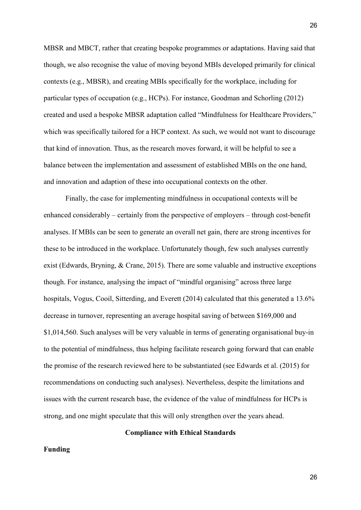MBSR and MBCT, rather that creating bespoke programmes or adaptations. Having said that though, we also recognise the value of moving beyond MBIs developed primarily for clinical contexts (e.g., MBSR), and creating MBIs specifically for the workplace, including for particular types of occupation (e.g., HCPs). For instance, Goodman and Schorling (2012) created and used a bespoke MBSR adaptation called "Mindfulness for Healthcare Providers," which was specifically tailored for a HCP context. As such, we would not want to discourage that kind of innovation. Thus, as the research moves forward, it will be helpful to see a balance between the implementation and assessment of established MBIs on the one hand, and innovation and adaption of these into occupational contexts on the other.

Finally, the case for implementing mindfulness in occupational contexts will be enhanced considerably – certainly from the perspective of employers – through cost-benefit analyses. If MBIs can be seen to generate an overall net gain, there are strong incentives for these to be introduced in the workplace. Unfortunately though, few such analyses currently exist [\(Edwards, Bryning, &](#page-31-4) Crane, 2015). There are some valuable and instructive exceptions though. For instance, analysing the impact of "mindful organising" across three large hospitals, Vogus, Cooil, Sitterding, and Everett (2014) calculated that this generated a 13.6% decrease in turnover, representing an average hospital saving of between \$169,000 and \$1,014,560. Such analyses will be very valuable in terms of generating organisational buy-in to the potential of mindfulness, thus helping facilitate research going forward that can enable the promise of the research reviewed here to be substantiated (see Edwards et al. (2015) for recommendations on conducting such analyses). Nevertheless, despite the limitations and issues with the current research base, the evidence of the value of mindfulness for HCPs is strong, and one might speculate that this will only strengthen over the years ahead.

#### **Compliance with Ethical Standards**

## **Funding**

26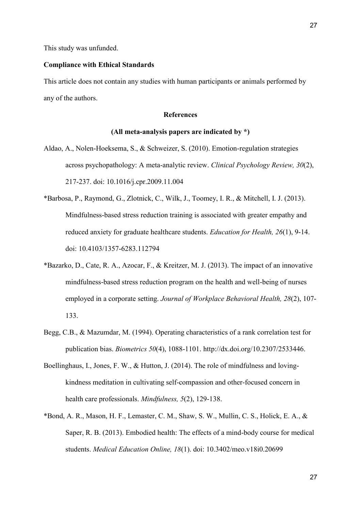## **Compliance with Ethical Standards**

This article does not contain any studies with human participants or animals performed by any of the authors.

#### **References**

#### **(All meta-analysis papers are indicated by \*)**

- <span id="page-26-0"></span>Aldao, A., Nolen-Hoeksema, S., & Schweizer, S. (2010). Emotion-regulation strategies across psychopathology: A meta-analytic review. *Clinical Psychology Review, 30*(2), 217-237. doi: 10.1016/j.cpr.2009.11.004
- <span id="page-26-2"></span>\*Barbosa, P., Raymond, G., Zlotnick, C., Wilk, J., Toomey, I. R., & Mitchell, I. J. (2013). Mindfulness-based stress reduction training is associated with greater empathy and reduced anxiety for graduate healthcare students. *Education for Health, 26*(1), 9-14. doi: 10.4103/1357-6283.112794
- \*Bazarko, D., Cate, R. A., Azocar, F., & Kreitzer, M. J. (2013). The impact of an innovative mindfulness-based stress reduction program on the health and well-being of nurses employed in a corporate setting. *Journal of Workplace Behavioral Health, 28*(2), 107- 133.
- Begg, C.B., & Mazumdar, M. (1994). Operating characteristics of a rank correlation test for publication bias. *Biometrics 50*(4), 1088-1101. http://dx.doi.org/10.2307/2533446.
- <span id="page-26-1"></span>Boellinghaus, I., Jones, F. W., & Hutton, J. (2014). The role of mindfulness and lovingkindness meditation in cultivating self-compassion and other-focused concern in health care professionals. *Mindfulness, 5*(2), 129-138.
- \*Bond, A. R., Mason, H. F., Lemaster, C. M., Shaw, S. W., Mullin, C. S., Holick, E. A., & Saper, R. B. (2013). Embodied health: The effects of a mind-body course for medical students. *Medical Education Online, 18*(1). doi: 10.3402/meo.v18i0.20699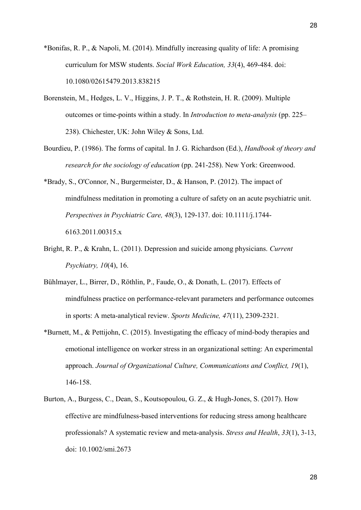- <span id="page-27-4"></span>\*Bonifas, R. P., & Napoli, M. (2014). Mindfully increasing quality of life: A promising curriculum for MSW students. *Social Work Education, 33*(4), 469-484. doi: 10.1080/02615479.2013.838215
- <span id="page-27-1"></span>Borenstein, M., Hedges, L. V., Higgins, J. P. T., & Rothstein, H. R. (2009). Multiple outcomes or time-points within a study. In *Introduction to meta-analysis* (pp. 225– 238). Chichester, UK: John Wiley & Sons, Ltd.
- Bourdieu, P. (1986). The forms of capital. In J. G. Richardson (Ed.), *Handbook of theory and research for the sociology of education* (pp. 241-258). New York: Greenwood.
- \*Brady, S., O'Connor, N., Burgermeister, D., & Hanson, P. (2012). The impact of mindfulness meditation in promoting a culture of safety on an acute psychiatric unit. *Perspectives in Psychiatric Care, 48*(3), 129-137. doi: 10.1111/j.1744- 6163.2011.00315.x
- <span id="page-27-2"></span>Bright, R. P., & Krahn, L. (2011). Depression and suicide among physicians. *Current Psychiatry, 10*(4), 16.
- <span id="page-27-3"></span>Bühlmayer, L., Birrer, D., Röthlin, P., Faude, O., & Donath, L. (2017). Effects of mindfulness practice on performance-relevant parameters and performance outcomes in sports: A meta-analytical review. *Sports Medicine, 47*(11), 2309-2321.
- \*Burnett, M., & Pettijohn, C. (2015). Investigating the efficacy of mind-body therapies and emotional intelligence on worker stress in an organizational setting: An experimental approach. *Journal of Organizational Culture, Communications and Conflict, 19*(1), 146-158.
- <span id="page-27-0"></span>Burton, A., Burgess, C., Dean, S., Koutsopoulou, G. Z., & Hugh‐Jones, S. (2017). How effective are mindfulness‐based interventions for reducing stress among healthcare professionals? A systematic review and meta‐analysis. *Stress and Health*, *33*(1), 3-13, doi: 10.1002/smi.2673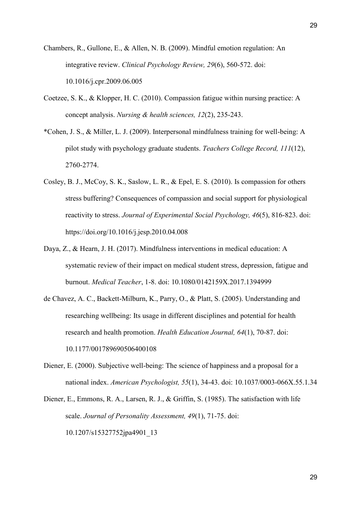- <span id="page-28-1"></span>Chambers, R., Gullone, E., & Allen, N. B. (2009). Mindful emotion regulation: An integrative review. *Clinical Psychology Review, 29*(6), 560-572. doi: 10.1016/j.cpr.2009.06.005
- <span id="page-28-2"></span>Coetzee, S. K., & Klopper, H. C. (2010). Compassion fatigue within nursing practice: A concept analysis. *Nursing & health sciences, 12*(2), 235-243.
- \*Cohen, J. S., & Miller, L. J. (2009). Interpersonal mindfulness training for well-being: A pilot study with psychology graduate students. *Teachers College Record, 111*(12), 2760-2774.
- <span id="page-28-0"></span>Cosley, B. J., McCoy, S. K., Saslow, L. R., & Epel, E. S. (2010). Is compassion for others stress buffering? Consequences of compassion and social support for physiological reactivity to stress. *Journal of Experimental Social Psychology, 46*(5), 816-823. doi: https://doi.org/10.1016/j.jesp.2010.04.008
- Daya, Z., & Hearn, J. H. (2017). Mindfulness interventions in medical education: A systematic review of their impact on medical student stress, depression, fatigue and burnout. *Medical Teacher*, 1-8. doi: 10.1080/0142159X.2017.1394999
- de Chavez, A. C., Backett-Milburn, K., Parry, O., & Platt, S. (2005). Understanding and researching wellbeing: Its usage in different disciplines and potential for health research and health promotion. *Health Education Journal, 64*(1), 70-87. doi: 10.1177/001789690506400108
- Diener, E. (2000). Subjective well-being: The science of happiness and a proposal for a national index. *American Psychologist, 55*(1), 34-43. doi: 10.1037/0003-066X.55.1.34
- Diener, E., Emmons, R. A., Larsen, R. J., & Griffin, S. (1985). The satisfaction with life scale. *Journal of Personality Assessment, 49*(1), 71-75. doi: 10.1207/s15327752jpa4901\_13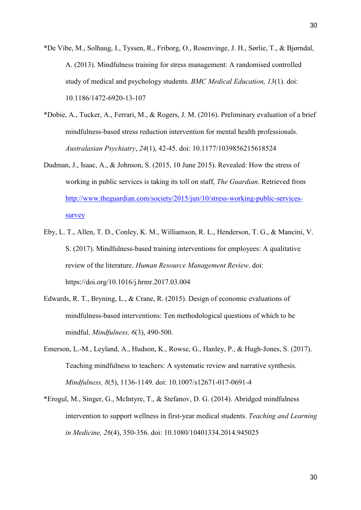- \*De Vibe, M., Solhaug, I., Tyssen, R., Friborg, O., Rosenvinge, J. H., Sørlie, T., & Bjørndal, A. (2013). Mindfulness training for stress management: A randomised controlled study of medical and psychology students. *BMC Medical Education, 13*(1). doi: 10.1186/1472-6920-13-107
- <span id="page-29-0"></span>\*Dobie, A., Tucker, A., Ferrari, M., & Rogers, J. M. (2016). Preliminary evaluation of a brief mindfulness-based stress reduction intervention for mental health professionals. *Australasian Psychiatry*, *24*(1), 42-45. doi: 10.1177/1039856215618524
- Dudman, J., Isaac, A., & Johnson, S. (2015, 10 June 2015). Revealed: How the stress of working in public services is taking its toll on staff, *The Guardian*. Retrieved from [http://www.theguardian.com/society/2015/jun/10/stress-working-public-services](http://www.theguardian.com/society/2015/jun/10/stress-working-public-services-survey)[survey](http://www.theguardian.com/society/2015/jun/10/stress-working-public-services-survey)
- <span id="page-29-1"></span>Eby, L. T., Allen, T. D., Conley, K. M., Williamson, R. L., Henderson, T. G., & Mancini, V. S. (2017). Mindfulness-based training interventions for employees: A qualitative review of the literature. *Human Resource Management Review*. doi: https://doi.org/10.1016/j.hrmr.2017.03.004
- Edwards, R. T., Bryning, L., & Crane, R. (2015). Design of economic evaluations of mindfulness-based interventions: Ten methodological questions of which to be mindful. *Mindfulness, 6*(3), 490-500.
- Emerson, L.-M., Leyland, A., Hudson, K., Rowse, G., Hanley, P., & Hugh-Jones, S. (2017). Teaching mindfulness to teachers: A systematic review and narrative synthesis. *Mindfulness, 8*(5), 1136-1149. doi: 10.1007/s12671-017-0691-4
- \*Erogul, M., Singer, G., McIntyre, T., & Stefanov, D. G. (2014). Abridged mindfulness intervention to support wellness in first-year medical students. *Teaching and Learning in Medicine, 26*(4), 350-356. doi: 10.1080/10401334.2014.945025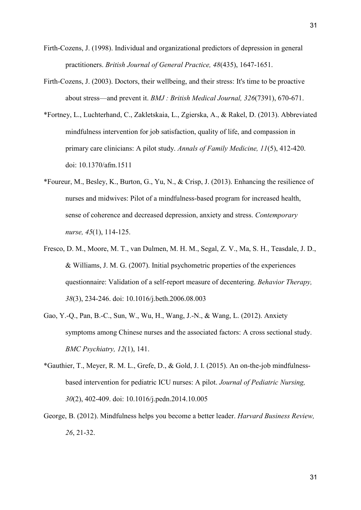- <span id="page-30-3"></span>Firth-Cozens, J. (1998). Individual and organizational predictors of depression in general practitioners. *British Journal of General Practice, 48*(435), 1647-1651.
- <span id="page-30-0"></span>Firth-Cozens, J. (2003). Doctors, their wellbeing, and their stress: It's time to be proactive about stress—and prevent it. *BMJ : British Medical Journal, 326*(7391), 670-671.
- \*Fortney, L., Luchterhand, C., Zakletskaia, L., Zgierska, A., & Rakel, D. (2013). Abbreviated mindfulness intervention for job satisfaction, quality of life, and compassion in primary care clinicians: A pilot study. *Annals of Family Medicine, 11*(5), 412-420. doi: 10.1370/afm.1511
- <span id="page-30-2"></span>\*Foureur, M., Besley, K., Burton, G., Yu, N., & Crisp, J. (2013). Enhancing the resilience of nurses and midwives: Pilot of a mindfulness-based program for increased health, sense of coherence and decreased depression, anxiety and stress. *Contemporary nurse, 45*(1), 114-125.
- <span id="page-30-1"></span>Fresco, D. M., Moore, M. T., van Dulmen, M. H. M., Segal, Z. V., Ma, S. H., Teasdale, J. D., & Williams, J. M. G. (2007). Initial psychometric properties of the experiences questionnaire: Validation of a self-report measure of decentering. *Behavior Therapy, 38*(3), 234-246. doi: 10.1016/j.beth.2006.08.003
- Gao, Y.-Q., Pan, B.-C., Sun, W., Wu, H., Wang, J.-N., & Wang, L. (2012). Anxiety symptoms among Chinese nurses and the associated factors: A cross sectional study. *BMC Psychiatry, 12*(1), 141.
- <span id="page-30-4"></span>\*Gauthier, T., Meyer, R. M. L., Grefe, D., & Gold, J. I. (2015). An on-the-job mindfulnessbased intervention for pediatric ICU nurses: A pilot. *Journal of Pediatric Nursing, 30*(2), 402-409. doi: 10.1016/j.pedn.2014.10.005
- <span id="page-30-5"></span>George, B. (2012). Mindfulness helps you become a better leader. *Harvard Business Review, 26*, 21-32.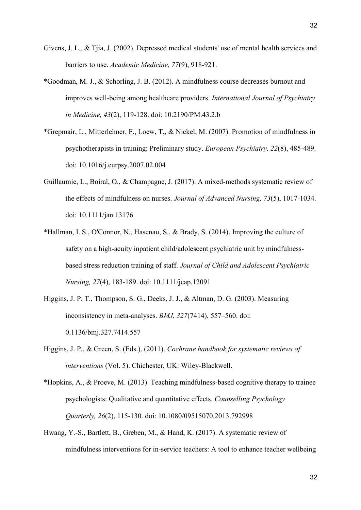- Givens, J. L., & Tjia, J. (2002). Depressed medical students' use of mental health services and barriers to use. *Academic Medicine, 77*(9), 918-921.
- <span id="page-31-2"></span>\*Goodman, M. J., & Schorling, J. B. (2012). A mindfulness course decreases burnout and improves well-being among healthcare providers. *International Journal of Psychiatry in Medicine, 43*(2), 119-128. doi: 10.2190/PM.43.2.b
- <span id="page-31-0"></span>\*Grepmair, L., Mitterlehner, F., Loew, T., & Nickel, M. (2007). Promotion of mindfulness in psychotherapists in training: Preliminary study. *European Psychiatry, 22*(8), 485-489. doi: 10.1016/j.eurpsy.2007.02.004
- <span id="page-31-1"></span>Guillaumie, L., Boiral, O., & Champagne, J. (2017). A mixed-methods systematic review of the effects of mindfulness on nurses. *Journal of Advanced Nursing, 73*(5), 1017-1034. doi: 10.1111/jan.13176
- \*Hallman, I. S., O'Connor, N., Hasenau, S., & Brady, S. (2014). Improving the culture of safety on a high-acuity inpatient child/adolescent psychiatric unit by mindfulnessbased stress reduction training of staff. *Journal of Child and Adolescent Psychiatric Nursing, 27*(4), 183-189. doi: 10.1111/jcap.12091
- <span id="page-31-3"></span>Higgins, J. P. T., Thompson, S. G., Deeks, J. J., & Altman, D. G. (2003). Measuring inconsistency in meta-analyses. *BMJ*, *327*(7414), 557–560. [doi:](https://doi.org/10.1136/bmj.327.7414.557)  [0.1136/bmj.327.7414.557](https://doi.org/10.1136/bmj.327.7414.557)
- Higgins, J. P., & Green, S. (Eds.). (2011). *Cochrane handbook for systematic reviews of interventions* (Vol. 5). Chichester, UK: Wiley-Blackwell.
- \*Hopkins, A., & Proeve, M. (2013). Teaching mindfulness-based cognitive therapy to trainee psychologists: Qualitative and quantitative effects. *Counselling Psychology Quarterly, 26*(2), 115-130. doi: 10.1080/09515070.2013.792998
- <span id="page-31-4"></span>Hwang, Y.-S., Bartlett, B., Greben, M., & Hand, K. (2017). A systematic review of mindfulness interventions for in-service teachers: A tool to enhance teacher wellbeing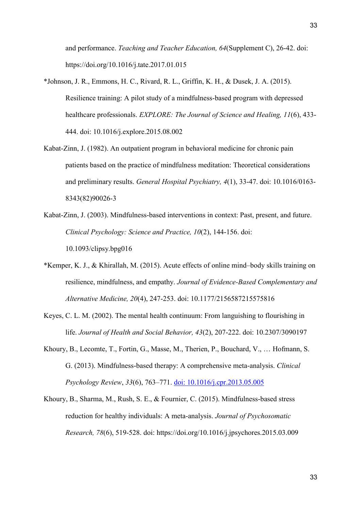and performance. *Teaching and Teacher Education, 64*(Supplement C), 26-42. doi: https://doi.org/10.1016/j.tate.2017.01.015

- \*Johnson, J. R., Emmons, H. C., Rivard, R. L., Griffin, K. H., & Dusek, J. A. (2015). Resilience training: A pilot study of a mindfulness-based program with depressed healthcare professionals. *EXPLORE: The Journal of Science and Healing, 11*(6), 433- 444. doi: 10.1016/j.explore.2015.08.002
- <span id="page-32-2"></span>Kabat-Zinn, J. (1982). An outpatient program in behavioral medicine for chronic pain patients based on the practice of mindfulness meditation: Theoretical considerations and preliminary results. *General Hospital Psychiatry, 4*(1), 33-47. doi: 10.1016/0163- 8343(82)90026-3
- <span id="page-32-0"></span>Kabat-Zinn, J. (2003). Mindfulness-based interventions in context: Past, present, and future. *Clinical Psychology: Science and Practice, 10*(2), 144-156. doi: 10.1093/clipsy.bpg016
- <span id="page-32-1"></span>\*Kemper, K. J., & Khirallah, M. (2015). Acute effects of online mind–body skills training on resilience, mindfulness, and empathy. *Journal of Evidence-Based Complementary and Alternative Medicine, 20*(4), 247-253. doi: 10.1177/2156587215575816
- <span id="page-32-3"></span>Keyes, C. L. M. (2002). The mental health continuum: From languishing to flourishing in life. *Journal of Health and Social Behavior, 43*(2), 207-222. doi: 10.2307/3090197
- Khoury, B., Lecomte, T., Fortin, G., Masse, M., Therien, P., Bouchard, V., … Hofmann, S. G. (2013). Mindfulness-based therapy: A comprehensive meta-analysis. *Clinical Psychology Review*, *33*(6), 763–771. [doi: 10.1016/j.cpr.2013.05.005](https://doi.org/10.1016/j.cpr.2013.05.005)
- Khoury, B., Sharma, M., Rush, S. E., & Fournier, C. (2015). Mindfulness-based stress reduction for healthy individuals: A meta-analysis. *Journal of Psychosomatic Research, 78*(6), 519-528. doi: https://doi.org/10.1016/j.jpsychores.2015.03.009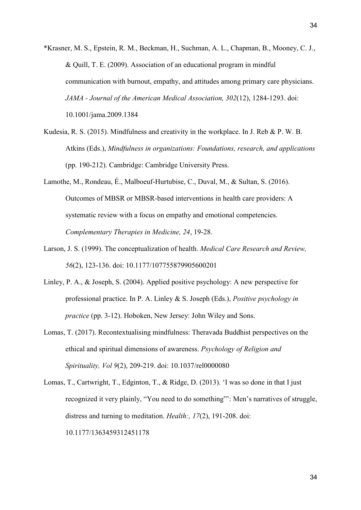\*Krasner, M. S., Epstein, R. M., Beckman, H., Suchman, A. L., Chapman, B., Mooney, C. J., & Quill, T. E. (2009). Association of an educational program in mindful communication with burnout, empathy, and attitudes among primary care physicians. *JAMA - Journal of the American Medical Association, 302*(12), 1284-1293. doi: 10.1001/jama.2009.1384

- <span id="page-33-0"></span>Kudesia, R. S. (2015). Mindfulness and creativity in the workplace. In J. Reb & P. W. B. Atkins (Eds.), *Mindfulness in organizations: Foundations, research, and applications* (pp. 190-212). Cambridge: Cambridge University Press.
- Lamothe, M., Rondeau, É., Malboeuf-Hurtubise, C., Duval, M., & Sultan, S. (2016). Outcomes of MBSR or MBSR-based interventions in health care providers: A systematic review with a focus on empathy and emotional competencies. *Complementary Therapies in Medicine, 24*, 19-28.
- <span id="page-33-1"></span>Larson, J. S. (1999). The conceptualization of health. *Medical Care Research and Review, 56*(2), 123-136. doi: 10.1177/107755879905600201
- Linley, P. A., & Joseph, S. (2004). Applied positive psychology: A new perspective for professional practice. In P. A. Linley & S. Joseph (Eds.), *Positive psychology in practice* (pp. 3-12). Hoboken, New Jersey: John Wiley and Sons.
- Lomas, T. (2017). Recontextualising mindfulness: Theravada Buddhist perspectives on the ethical and spiritual dimensions of awareness. *Psychology of Religion and Spirituality, Vol 9*(2), 209-219. doi: 10.1037/rel0000080
- Lomas, T., Cartwright, T., Edginton, T., & Ridge, D. (2013). 'I was so done in that I just recognized it very plainly, "You need to do something"': Men's narratives of struggle, distress and turning to meditation. *Health:, 17*(2), 191-208. doi: 10.1177/1363459312451178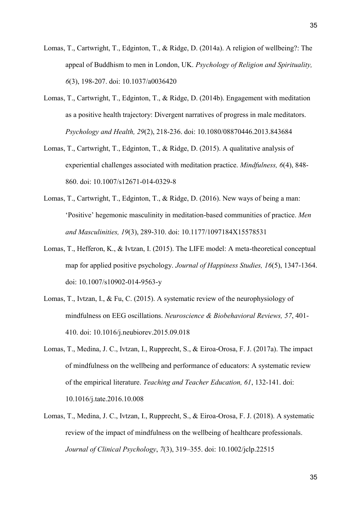- Lomas, T., Cartwright, T., Edginton, T., & Ridge, D. (2014a). A religion of wellbeing?: The appeal of Buddhism to men in London, UK. *Psychology of Religion and Spirituality, 6*(3), 198-207. doi: 10.1037/a0036420
- Lomas, T., Cartwright, T., Edginton, T., & Ridge, D. (2014b). Engagement with meditation as a positive health trajectory: Divergent narratives of progress in male meditators. *Psychology and Health, 29*(2), 218-236. doi: 10.1080/08870446.2013.843684
- Lomas, T., Cartwright, T., Edginton, T., & Ridge, D. (2015). A qualitative analysis of experiential challenges associated with meditation practice. *Mindfulness, 6*(4), 848- 860. doi: 10.1007/s12671-014-0329-8
- Lomas, T., Cartwright, T., Edginton, T., & Ridge, D. (2016). New ways of being a man: 'Positive' hegemonic masculinity in meditation-based communities of practice. *Men and Masculinities, 19*(3), 289-310. doi: 10.1177/1097184X15578531
- Lomas, T., Hefferon, K., & Ivtzan, I. (2015). The LIFE model: A meta-theoretical conceptual map for applied positive psychology. *Journal of Happiness Studies, 16*(5), 1347-1364. doi: 10.1007/s10902-014-9563-y
- Lomas, T., Ivtzan, I., & Fu, C. (2015). A systematic review of the neurophysiology of mindfulness on EEG oscillations. *Neuroscience & Biobehavioral Reviews, 57*, 401- 410. doi: 10.1016/j.neubiorev.2015.09.018
- Lomas, T., Medina, J. C., Ivtzan, I., Rupprecht, S., & Eiroa-Orosa, F. J. (2017a). The impact of mindfulness on the wellbeing and performance of educators: A systematic review of the empirical literature. *Teaching and Teacher Education, 61*, 132-141. doi: 10.1016/j.tate.2016.10.008
- Lomas, T., Medina, J. C., Ivtzan, I., Rupprecht, S., & Eiroa-Orosa, F. J. (2018). A systematic review of the impact of mindfulness on the wellbeing of healthcare professionals. *Journal of Clinical Psychology*, *7*(3), 319–355. doi: 10.1002/jclp.22515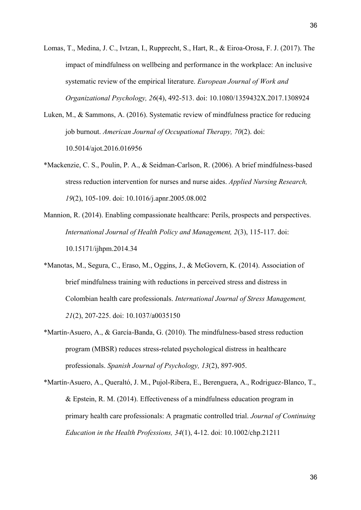- Lomas, T., Medina, J. C., Ivtzan, I., Rupprecht, S., Hart, R., & Eiroa-Orosa, F. J. (2017). The impact of mindfulness on wellbeing and performance in the workplace: An inclusive systematic review of the empirical literature. *European Journal of Work and Organizational Psychology, 26*(4), 492-513. doi: 10.1080/1359432X.2017.1308924
- Luken, M., & Sammons, A. (2016). Systematic review of mindfulness practice for reducing job burnout. *American Journal of Occupational Therapy, 70*(2). doi: 10.5014/ajot.2016.016956
- \*Mackenzie, C. S., Poulin, P. A., & Seidman-Carlson, R. (2006). A brief mindfulness-based stress reduction intervention for nurses and nurse aides. *Applied Nursing Research, 19*(2), 105-109. doi: 10.1016/j.apnr.2005.08.002
- <span id="page-35-1"></span>Mannion, R. (2014). Enabling compassionate healthcare: Perils, prospects and perspectives. *International Journal of Health Policy and Management, 2*(3), 115-117. doi: 10.15171/ijhpm.2014.34
- \*Manotas, M., Segura, C., Eraso, M., Oggins, J., & McGovern, K. (2014). Association of brief mindfulness training with reductions in perceived stress and distress in Colombian health care professionals. *International Journal of Stress Management, 21*(2), 207-225. doi: 10.1037/a0035150
- <span id="page-35-2"></span>\*Martín-Asuero, A., & García-Banda, G. (2010). The mindfulness-based stress reduction program (MBSR) reduces stress-related psychological distress in healthcare professionals. *Spanish Journal of Psychology, 13*(2), 897-905.
- <span id="page-35-0"></span>\*Martín-Asuero, A., Queraltó, J. M., Pujol-Ribera, E., Berenguera, A., Rodriguez-Blanco, T., & Epstein, R. M. (2014). Effectiveness of a mindfulness education program in primary health care professionals: A pragmatic controlled trial. *Journal of Continuing Education in the Health Professions, 34*(1), 4-12. doi: 10.1002/chp.21211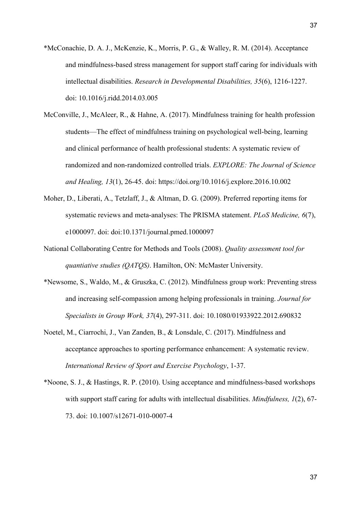- <span id="page-36-2"></span>\*McConachie, D. A. J., McKenzie, K., Morris, P. G., & Walley, R. M. (2014). Acceptance and mindfulness-based stress management for support staff caring for individuals with intellectual disabilities. *Research in Developmental Disabilities, 35*(6), 1216-1227. doi: 10.1016/j.ridd.2014.03.005
- <span id="page-36-0"></span>McConville, J., McAleer, R., & Hahne, A. (2017). Mindfulness training for health profession students—The effect of mindfulness training on psychological well-being, learning and clinical performance of health professional students: A systematic review of randomized and non-randomized controlled trials. *EXPLORE: The Journal of Science and Healing, 13*(1), 26-45. doi: https://doi.org/10.1016/j.explore.2016.10.002
- Moher, D., Liberati, A., Tetzlaff, J., & Altman, D. G. (2009). Preferred reporting items for systematic reviews and meta-analyses: The PRISMA statement. *PLoS Medicine, 6*(7), e1000097. doi: doi:10.1371/journal.pmed.1000097
- <span id="page-36-1"></span>National Collaborating Centre for Methods and Tools (2008). *Quality assessment tool for quantiative studies (QATQS)*. Hamilton, ON: McMaster University.
- \*Newsome, S., Waldo, M., & Gruszka, C. (2012). Mindfulness group work: Preventing stress and increasing self-compassion among helping professionals in training. *Journal for Specialists in Group Work, 37*(4), 297-311. doi: 10.1080/01933922.2012.690832
- Noetel, M., Ciarrochi, J., Van Zanden, B., & Lonsdale, C. (2017). Mindfulness and acceptance approaches to sporting performance enhancement: A systematic review. *International Review of Sport and Exercise Psychology*, 1-37.
- \*Noone, S. J., & Hastings, R. P. (2010). Using acceptance and mindfulness-based workshops with support staff caring for adults with intellectual disabilities. *Mindfulness, 1*(2), 67- 73. doi: 10.1007/s12671-010-0007-4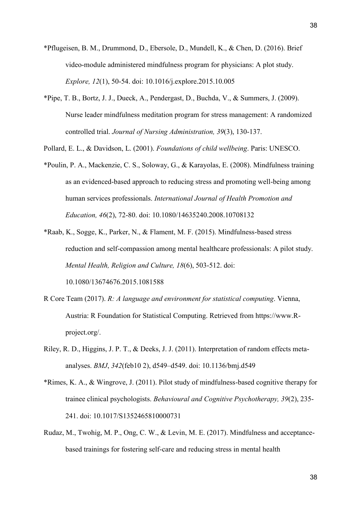- <span id="page-37-4"></span>\*Pflugeisen, B. M., Drummond, D., Ebersole, D., Mundell, K., & Chen, D. (2016). Brief video-module administered mindfulness program for physicians: A plot study. *Explore, 12*(1), 50-54. doi: 10.1016/j.explore.2015.10.005
- \*Pipe, T. B., Bortz, J. J., Dueck, A., Pendergast, D., Buchda, V., & Summers, J. (2009). Nurse leader mindfulness meditation program for stress management: A randomized controlled trial. *Journal of Nursing Administration, 39*(3), 130-137.
- <span id="page-37-1"></span>Pollard, E. L., & Davidson, L. (2001). *Foundations of child wellbeing*. Paris: UNESCO.
- \*Poulin, P. A., Mackenzie, C. S., Soloway, G., & Karayolas, E. (2008). Mindfulness training as an evidenced-based approach to reducing stress and promoting well-being among human services professionals. *International Journal of Health Promotion and Education, 46*(2), 72-80. doi: 10.1080/14635240.2008.10708132
- <span id="page-37-3"></span>\*Raab, K., Sogge, K., Parker, N., & Flament, M. F. (2015). Mindfulness-based stress reduction and self-compassion among mental healthcare professionals: A pilot study. *Mental Health, Religion and Culture, 18*(6), 503-512. doi: 10.1080/13674676.2015.1081588
- <span id="page-37-0"></span>R Core Team (2017). *R: A language and environment for statistical computing*. Vienna, Austria: R Foundation for Statistical Computing. Retrieved from https://www.Rproject.org/.
- Riley, R. D., Higgins, J. P. T., & Deeks, J. J. (2011). Interpretation of random effects metaanalyses. *BMJ*, *342*(feb10 2), d549–d549. doi: 10.1136/bmj.d549
- \*Rimes, K. A., & Wingrove, J. (2011). Pilot study of mindfulness-based cognitive therapy for trainee clinical psychologists. *Behavioural and Cognitive Psychotherapy, 39*(2), 235- 241. doi: 10.1017/S1352465810000731
- <span id="page-37-2"></span>Rudaz, M., Twohig, M. P., Ong, C. W., & Levin, M. E. (2017). Mindfulness and acceptancebased trainings for fostering self-care and reducing stress in mental health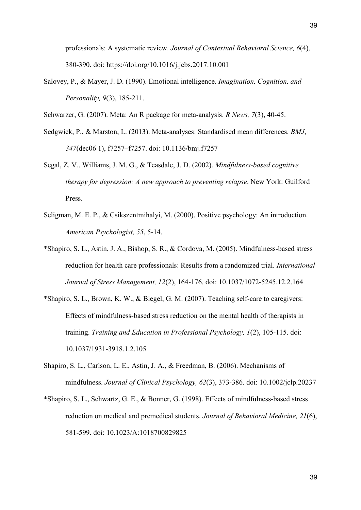professionals: A systematic review. *Journal of Contextual Behavioral Science, 6*(4), 380-390. doi: https://doi.org/10.1016/j.jcbs.2017.10.001

Salovey, P., & Mayer, J. D. (1990). Emotional intelligence. *Imagination, Cognition, and Personality, 9*(3), 185-211.

Schwarzer, G. (2007). Meta: An R package for meta-analysis. *R News, 7*(3), 40-45.

- Sedgwick, P., & Marston, L. (2013). Meta-analyses: Standardised mean differences. *BMJ*, *347*(dec06 1), f7257–f7257. [doi: 10.1136/bmj.f7257](https://doi.org/10.1136/bmj.f7257)
- Segal, Z. V., Williams, J. M. G., & Teasdale, J. D. (2002). *Mindfulness-based cognitive therapy for depression: A new approach to preventing relapse*. New York: Guilford Press.
- <span id="page-38-1"></span>Seligman, M. E. P., & Csikszentmihalyi, M. (2000). Positive psychology: An introduction. *American Psychologist, 55*, 5-14.
- \*Shapiro, S. L., Astin, J. A., Bishop, S. R., & Cordova, M. (2005). Mindfulness-based stress reduction for health care professionals: Results from a randomized trial. *International Journal of Stress Management, 12*(2), 164-176. doi: 10.1037/1072-5245.12.2.164
- <span id="page-38-2"></span>\*Shapiro, S. L., Brown, K. W., & Biegel, G. M. (2007). Teaching self-care to caregivers: Effects of mindfulness-based stress reduction on the mental health of therapists in training. *Training and Education in Professional Psychology, 1*(2), 105-115. doi: 10.1037/1931-3918.1.2.105
- <span id="page-38-0"></span>Shapiro, S. L., Carlson, L. E., Astin, J. A., & Freedman, B. (2006). Mechanisms of mindfulness. *Journal of Clinical Psychology, 62*(3), 373-386. doi: 10.1002/jclp.20237
- \*Shapiro, S. L., Schwartz, G. E., & Bonner, G. (1998). Effects of mindfulness-based stress reduction on medical and premedical students. *Journal of Behavioral Medicine, 21*(6), 581-599. doi: 10.1023/A:1018700829825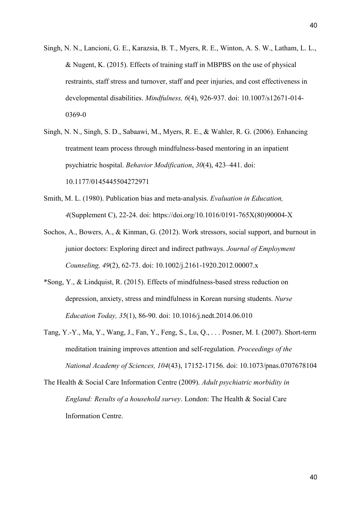- Singh, N. N., Lancioni, G. E., Karazsia, B. T., Myers, R. E., Winton, A. S. W., Latham, L. L., & Nugent, K. (2015). Effects of training staff in MBPBS on the use of physical restraints, staff stress and turnover, staff and peer injuries, and cost effectiveness in developmental disabilities. *Mindfulness, 6*(4), 926-937. doi: 10.1007/s12671-014- 0369-0
- <span id="page-39-1"></span>Singh, N. N., Singh, S. D., Sabaawi, M., Myers, R. E., & Wahler, R. G. (2006). Enhancing treatment team process through mindfulness-based mentoring in an inpatient psychiatric hospital. *Behavior Modification*, *30*(4), 423–441. [doi:](https://doi.org/10.1177/0145445504272971)  [10.1177/0145445504272971](https://doi.org/10.1177/0145445504272971)
- Smith, M. L. (1980). Publication bias and meta-analysis. *Evaluation in Education, 4*(Supplement C), 22-24. doi: https://doi.org/10.1016/0191-765X(80)90004-X
- Sochos, A., Bowers, A., & Kinman, G. (2012). Work stressors, social support, and burnout in junior doctors: Exploring direct and indirect pathways. *Journal of Employment Counseling, 49*(2), 62-73. doi: 10.1002/j.2161-1920.2012.00007.x
- <span id="page-39-0"></span>\*Song, Y., & Lindquist, R. (2015). Effects of mindfulness-based stress reduction on depression, anxiety, stress and mindfulness in Korean nursing students. *Nurse Education Today, 35*(1), 86-90. doi: 10.1016/j.nedt.2014.06.010
- <span id="page-39-2"></span>Tang, Y.-Y., Ma, Y., Wang, J., Fan, Y., Feng, S., Lu, Q., . . . Posner, M. I. (2007). Short-term meditation training improves attention and self-regulation. *Proceedings of the National Academy of Sciences, 104*(43), 17152-17156. doi: 10.1073/pnas.0707678104
- The Health & Social Care Information Centre (2009). *Adult psychiatric morbidity in England: Results of a household survey*. London: The Health & Social Care Information Centre.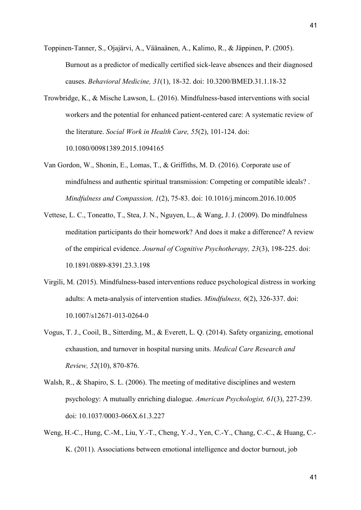<span id="page-40-3"></span>Toppinen-Tanner, S., Ojajärvi, A., Väänaänen, A., Kalimo, R., & Jäppinen, P. (2005). Burnout as a predictor of medically certified sick-leave absences and their diagnosed causes. *Behavioral Medicine, 31*(1), 18-32. doi: 10.3200/BMED.31.1.18-32

- <span id="page-40-0"></span>Trowbridge, K., & Mische Lawson, L. (2016). Mindfulness-based interventions with social workers and the potential for enhanced patient-centered care: A systematic review of the literature. *Social Work in Health Care, 55*(2), 101-124. doi: 10.1080/00981389.2015.1094165
- <span id="page-40-1"></span>Van Gordon, W., Shonin, E., Lomas, T., & Griffiths, M. D. (2016). Corporate use of mindfulness and authentic spiritual transmission: Competing or compatible ideals? . *Mindfulness and Compassion, 1*(2), 75-83. doi: 10.1016/j.mincom.2016.10.005
- Vettese, L. C., Toneatto, T., Stea, J. N., Nguyen, L., & Wang, J. J. (2009). Do mindfulness meditation participants do their homework? And does it make a difference? A review of the empirical evidence. *Journal of Cognitive Psychotherapy, 23*(3), 198-225. doi: 10.1891/0889-8391.23.3.198
- Virgili, M. (2015). Mindfulness-based interventions reduce psychological distress in working adults: A meta-analysis of intervention studies. *Mindfulness, 6*(2), 326-337. doi: 10.1007/s12671-013-0264-0
- Vogus, T. J., Cooil, B., Sitterding, M., & Everett, L. Q. (2014). Safety organizing, emotional exhaustion, and turnover in hospital nursing units. *Medical Care Research and Review, 52*(10), 870-876.
- Walsh, R., & Shapiro, S. L. (2006). The meeting of meditative disciplines and western psychology: A mutually enriching dialogue. *American Psychologist, 61*(3), 227-239. doi: 10.1037/0003-066X.61.3.227
- <span id="page-40-2"></span>Weng, H.-C., Hung, C.-M., Liu, Y.-T., Cheng, Y.-J., Yen, C.-Y., Chang, C.-C., & Huang, C.- K. (2011). Associations between emotional intelligence and doctor burnout, job